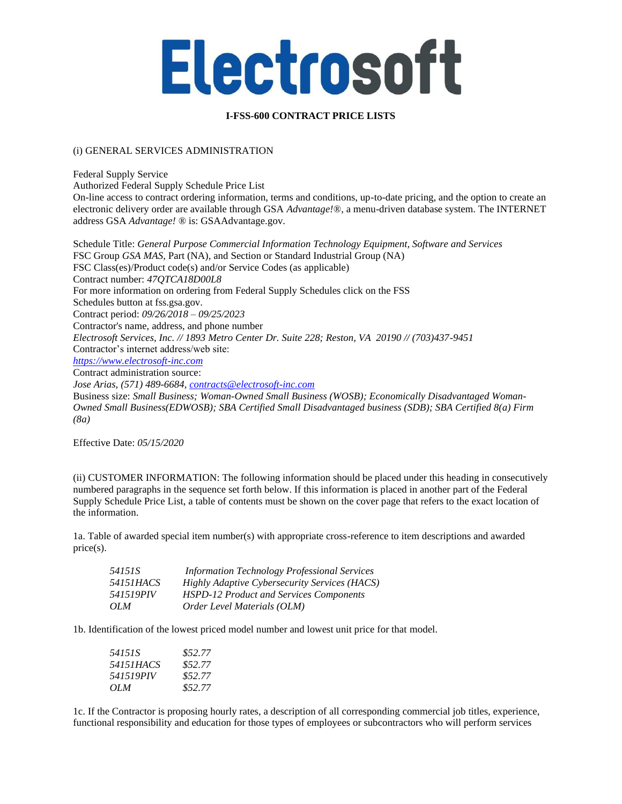# Electrosoft

#### **I-FSS-600 CONTRACT PRICE LISTS**

### (i) GENERAL SERVICES ADMINISTRATION

Federal Supply Service

Authorized Federal Supply Schedule Price List

On-line access to contract ordering information, terms and conditions, up-to-date pricing, and the option to create an electronic delivery order are available through GSA *Advantage!*®, a menu-driven database system. The INTERNET address GSA *Advantage!* ® is: GSAAdvantage.gov.

Schedule Title: *General Purpose Commercial Information Technology Equipment, Software and Services* FSC Group *GSA MAS*, Part (NA), and Section or Standard Industrial Group (NA) FSC Class(es)/Product code(s) and/or Service Codes (as applicable) Contract number: *47QTCA18D00L8* For more information on ordering from Federal Supply Schedules click on the FSS Schedules button at fss.gsa.gov. Contract period: *09/26/2018 – 09/25/2023* Contractor's name, address, and phone number *Electrosoft Services, Inc. // 1893 Metro Center Dr. Suite 228; Reston, VA 20190 // (703)437-9451* Contractor's internet address/web site: *[https://www.electrosoft-inc.com](https://www.electrosoft-inc.com/)* Contract administration source: *Jose Arias, (571) 489-6684[, contracts@electrosoft-inc.com](mailto:contracts@electrosoft-inc.com)* Business size: *Small Business; Woman-Owned Small Business (WOSB); Economically Disadvantaged Woman-Owned Small Business(EDWOSB); SBA Certified Small Disadvantaged business (SDB); SBA Certified 8(a) Firm (8a)*

Effective Date: *05/15/2020*

(ii) CUSTOMER INFORMATION: The following information should be placed under this heading in consecutively numbered paragraphs in the sequence set forth below. If this information is placed in another part of the Federal Supply Schedule Price List, a table of contents must be shown on the cover page that refers to the exact location of the information.

1a. Table of awarded special item number(s) with appropriate cross-reference to item descriptions and awarded price(s).

| 54151S           | <b>Information Technology Professional Services</b>  |
|------------------|------------------------------------------------------|
| <i>54151HACS</i> | <b>Highly Adaptive Cybersecurity Services (HACS)</b> |
| 541519PIV        | <b>HSPD-12 Product and Services Components</b>       |
| OLM              | Order Level Materials (OLM)                          |

1b. Identification of the lowest priced model number and lowest unit price for that model.

| 54151S           | \$52.77 |
|------------------|---------|
| <i>54151HACS</i> | \$52.77 |
| 541519PIV        | \$52.77 |
| OLM              | \$52.77 |

1c. If the Contractor is proposing hourly rates, a description of all corresponding commercial job titles, experience, functional responsibility and education for those types of employees or subcontractors who will perform services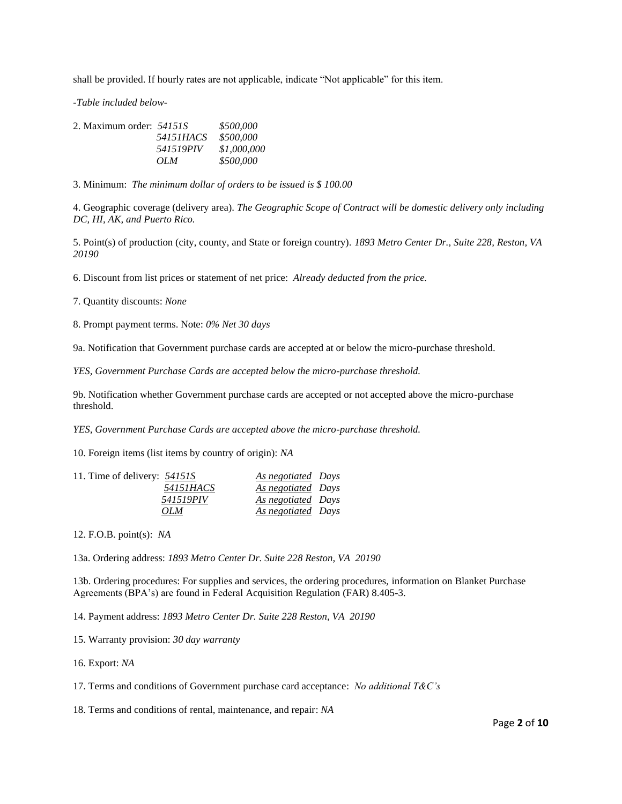shall be provided. If hourly rates are not applicable, indicate "Not applicable" for this item.

*-Table included below-*

| 2. Maximum order: $54151S$ |                  | \$500,000   |
|----------------------------|------------------|-------------|
|                            | <i>54151HACS</i> | \$500,000   |
|                            | 541519PIV        | \$1,000,000 |
|                            | OLM              | \$500,000   |

3. Minimum: *The minimum dollar of orders to be issued is \$ 100.00*

4. Geographic coverage (delivery area). *The Geographic Scope of Contract will be domestic delivery only including DC, HI, AK, and Puerto Rico.*

5. Point(s) of production (city, county, and State or foreign country). *1893 Metro Center Dr., Suite 228, Reston, VA 20190*

6. Discount from list prices or statement of net price: *Already deducted from the price.*

7. Quantity discounts: *None*

8. Prompt payment terms. Note: *0% Net 30 days*

9a. Notification that Government purchase cards are accepted at or below the micro-purchase threshold.

*YES, Government Purchase Cards are accepted below the micro-purchase threshold.*

9b. Notification whether Government purchase cards are accepted or not accepted above the micro-purchase threshold.

*YES, Government Purchase Cards are accepted above the micro-purchase threshold.*

10. Foreign items (list items by country of origin): *NA*

| 11. Time of delivery: $\frac{54151S}{ }$ |                  | <b>As negotiated</b> Days |  |
|------------------------------------------|------------------|---------------------------|--|
|                                          | <i>54151HACS</i> | As negotiated Days        |  |
|                                          | 541519PIV        | <b>As negotiated</b> Days |  |
|                                          | OLM              | <b>As negotiated</b> Days |  |

12. F.O.B. point(s): *NA*

13a. Ordering address: *1893 Metro Center Dr. Suite 228 Reston, VA 20190*

13b. Ordering procedures: For supplies and services, the ordering procedures, information on Blanket Purchase Agreements (BPA's) are found in Federal Acquisition Regulation (FAR) 8.405-3.

14. Payment address: *1893 Metro Center Dr. Suite 228 Reston, VA 20190*

15. Warranty provision: *30 day warranty*

16. Export: *NA*

17. Terms and conditions of Government purchase card acceptance: *No additional T&C's*

18. Terms and conditions of rental, maintenance, and repair: *NA*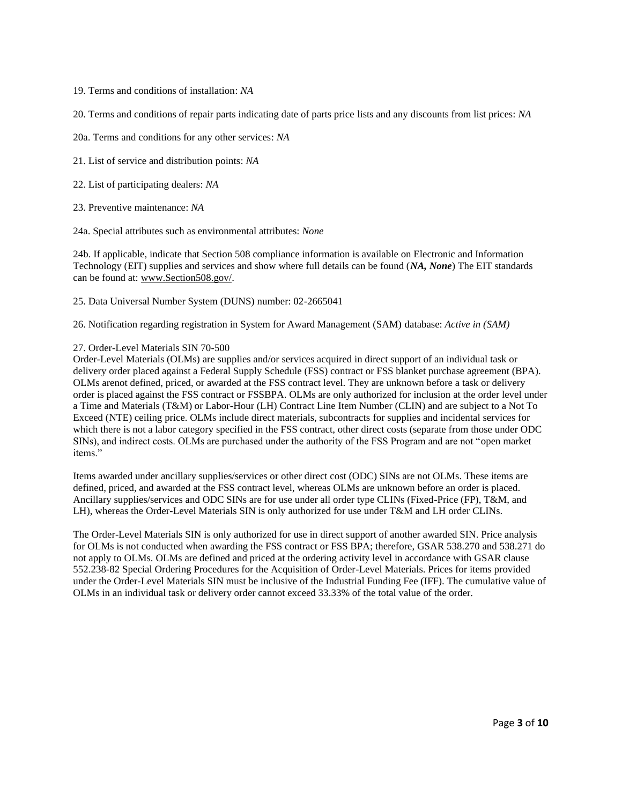19. Terms and conditions of installation: *NA*

20. Terms and conditions of repair parts indicating date of parts price lists and any discounts from list prices: *NA*

20a. Terms and conditions for any other services: *NA*

21. List of service and distribution points: *NA*

22. List of participating dealers: *NA*

23. Preventive maintenance: *NA*

24a. Special attributes such as environmental attributes: *None*

24b. If applicable, indicate that Section 508 compliance information is available on Electronic and Information Technology (EIT) supplies and services and show where full details can be found (*NA, None*) The EIT standards can be found at[: www.Section508.gov/.](http://www.section508.gov/)

25. Data Universal Number System (DUNS) number: 02-2665041

26. Notification regarding registration in System for Award Management (SAM) database: *Active in (SAM)*

#### 27. Order-Level Materials SIN 70-500

Order-Level Materials (OLMs) are supplies and/or services acquired in direct support of an individual task or delivery order placed against a Federal Supply Schedule (FSS) contract or FSS blanket purchase agreement (BPA). OLMs arenot defined, priced, or awarded at the FSS contract level. They are unknown before a task or delivery order is placed against the FSS contract or FSSBPA. OLMs are only authorized for inclusion at the order level under a Time and Materials (T&M) or Labor-Hour (LH) Contract Line Item Number (CLIN) and are subject to a Not To Exceed (NTE) ceiling price. OLMs include direct materials, subcontracts for supplies and incidental services for which there is not a labor category specified in the FSS contract, other direct costs (separate from those under ODC SINs), and indirect costs. OLMs are purchased under the authority of the FSS Program and are not "open market items."

Items awarded under ancillary supplies/services or other direct cost (ODC) SINs are not OLMs. These items are defined, priced, and awarded at the FSS contract level, whereas OLMs are unknown before an order is placed. Ancillary supplies/services and ODC SINs are for use under all order type CLINs (Fixed-Price (FP), T&M, and LH), whereas the Order-Level Materials SIN is only authorized for use under T&M and LH order CLINs.

The Order-Level Materials SIN is only authorized for use in direct support of another awarded SIN. Price analysis for OLMs is not conducted when awarding the FSS contract or FSS BPA; therefore, GSAR 538.270 and 538.271 do not apply to OLMs. OLMs are defined and priced at the ordering activity level in accordance with GSAR clause 552.238-82 Special Ordering Procedures for the Acquisition of Order-Level Materials. Prices for items provided under the Order-Level Materials SIN must be inclusive of the Industrial Funding Fee (IFF). The cumulative value of OLMs in an individual task or delivery order cannot exceed 33.33% of the total value of the order.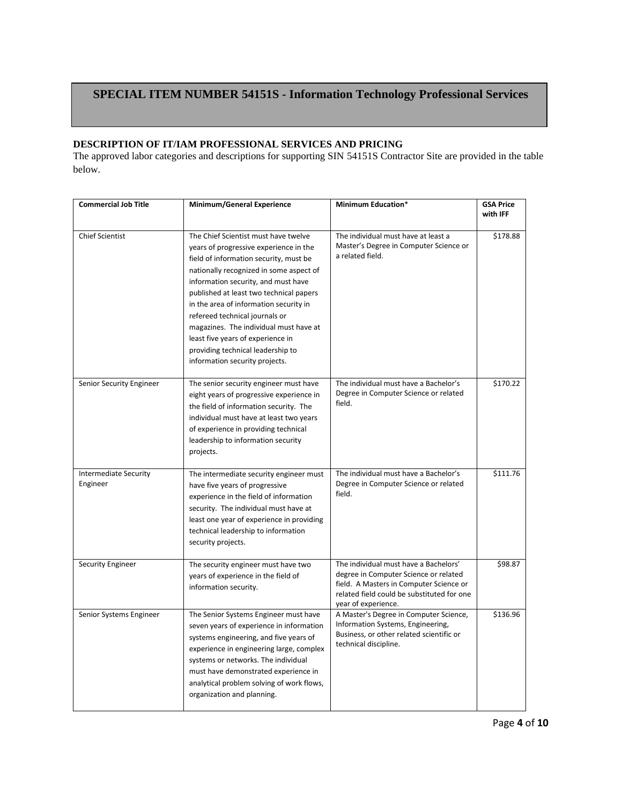# **SPECIAL ITEM NUMBER 54151S - Information Technology Professional Services**

## **DESCRIPTION OF IT/IAM PROFESSIONAL SERVICES AND PRICING**

The approved labor categories and descriptions for supporting SIN 54151S Contractor Site are provided in the table below.

| <b>Commercial Job Title</b>              | Minimum/General Experience                                                                                                                                                                                                                                                                                                                                                                                                                                                              | <b>Minimum Education*</b>                                                                                                                                                                      | <b>GSA Price</b><br>with IFF |
|------------------------------------------|-----------------------------------------------------------------------------------------------------------------------------------------------------------------------------------------------------------------------------------------------------------------------------------------------------------------------------------------------------------------------------------------------------------------------------------------------------------------------------------------|------------------------------------------------------------------------------------------------------------------------------------------------------------------------------------------------|------------------------------|
| <b>Chief Scientist</b>                   | The Chief Scientist must have twelve<br>years of progressive experience in the<br>field of information security, must be<br>nationally recognized in some aspect of<br>information security, and must have<br>published at least two technical papers<br>in the area of information security in<br>refereed technical journals or<br>magazines. The individual must have at<br>least five years of experience in<br>providing technical leadership to<br>information security projects. | The individual must have at least a<br>Master's Degree in Computer Science or<br>a related field.                                                                                              | \$178.88                     |
| Senior Security Engineer                 | The senior security engineer must have<br>eight years of progressive experience in<br>the field of information security. The<br>individual must have at least two years<br>of experience in providing technical<br>leadership to information security<br>projects.                                                                                                                                                                                                                      | The individual must have a Bachelor's<br>Degree in Computer Science or related<br>field.                                                                                                       | \$170.22                     |
| <b>Intermediate Security</b><br>Engineer | The intermediate security engineer must<br>have five years of progressive<br>experience in the field of information<br>security. The individual must have at<br>least one year of experience in providing<br>technical leadership to information<br>security projects.                                                                                                                                                                                                                  | The individual must have a Bachelor's<br>Degree in Computer Science or related<br>field.                                                                                                       | \$111.76                     |
| <b>Security Engineer</b>                 | The security engineer must have two<br>years of experience in the field of<br>information security.                                                                                                                                                                                                                                                                                                                                                                                     | The individual must have a Bachelors'<br>degree in Computer Science or related<br>field. A Masters in Computer Science or<br>related field could be substituted for one<br>year of experience. | \$98.87                      |
| Senior Systems Engineer                  | The Senior Systems Engineer must have<br>seven years of experience in information<br>systems engineering, and five years of<br>experience in engineering large, complex<br>systems or networks. The individual<br>must have demonstrated experience in<br>analytical problem solving of work flows,<br>organization and planning.                                                                                                                                                       | A Master's Degree in Computer Science,<br>Information Systems, Engineering,<br>Business, or other related scientific or<br>technical discipline.                                               | \$136.96                     |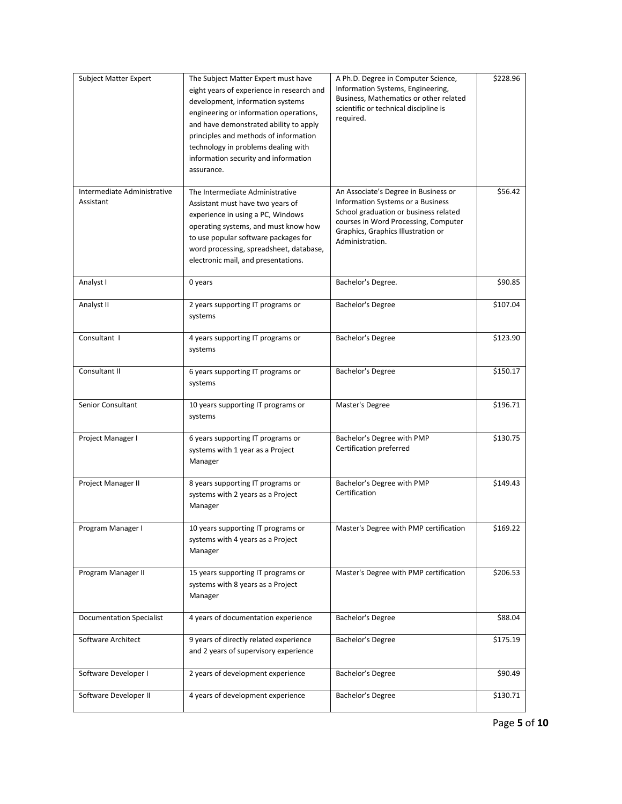| <b>Subject Matter Expert</b><br>Intermediate Administrative<br>Assistant | The Subject Matter Expert must have<br>eight years of experience in research and<br>development, information systems<br>engineering or information operations,<br>and have demonstrated ability to apply<br>principles and methods of information<br>technology in problems dealing with<br>information security and information<br>assurance.<br>The Intermediate Administrative<br>Assistant must have two years of<br>experience in using a PC, Windows<br>operating systems, and must know how | A Ph.D. Degree in Computer Science,<br>Information Systems, Engineering,<br>Business, Mathematics or other related<br>scientific or technical discipline is<br>required.<br>An Associate's Degree in Business or<br>Information Systems or a Business<br>School graduation or business related<br>courses in Word Processing, Computer | $\overline{$}228.96$<br>\$56.42 |
|--------------------------------------------------------------------------|----------------------------------------------------------------------------------------------------------------------------------------------------------------------------------------------------------------------------------------------------------------------------------------------------------------------------------------------------------------------------------------------------------------------------------------------------------------------------------------------------|----------------------------------------------------------------------------------------------------------------------------------------------------------------------------------------------------------------------------------------------------------------------------------------------------------------------------------------|---------------------------------|
|                                                                          | to use popular software packages for<br>word processing, spreadsheet, database,<br>electronic mail, and presentations.                                                                                                                                                                                                                                                                                                                                                                             | Graphics, Graphics Illustration or<br>Administration.                                                                                                                                                                                                                                                                                  |                                 |
| Analyst I                                                                | 0 years                                                                                                                                                                                                                                                                                                                                                                                                                                                                                            | Bachelor's Degree.                                                                                                                                                                                                                                                                                                                     | \$90.85                         |
| Analyst II                                                               | 2 years supporting IT programs or<br>systems                                                                                                                                                                                                                                                                                                                                                                                                                                                       | Bachelor's Degree                                                                                                                                                                                                                                                                                                                      | \$107.04                        |
| Consultant I                                                             | 4 years supporting IT programs or<br>systems                                                                                                                                                                                                                                                                                                                                                                                                                                                       | Bachelor's Degree                                                                                                                                                                                                                                                                                                                      | \$123.90                        |
| Consultant II                                                            | 6 years supporting IT programs or<br>systems                                                                                                                                                                                                                                                                                                                                                                                                                                                       | Bachelor's Degree                                                                                                                                                                                                                                                                                                                      | \$150.17                        |
| Senior Consultant                                                        | 10 years supporting IT programs or<br>systems                                                                                                                                                                                                                                                                                                                                                                                                                                                      | Master's Degree                                                                                                                                                                                                                                                                                                                        | \$196.71                        |
| Project Manager I                                                        | 6 years supporting IT programs or<br>systems with 1 year as a Project<br>Manager                                                                                                                                                                                                                                                                                                                                                                                                                   | Bachelor's Degree with PMP<br>Certification preferred                                                                                                                                                                                                                                                                                  | \$130.75                        |
| Project Manager II                                                       | 8 years supporting IT programs or<br>systems with 2 years as a Project<br>Manager                                                                                                                                                                                                                                                                                                                                                                                                                  | Bachelor's Degree with PMP<br>Certification                                                                                                                                                                                                                                                                                            | \$149.43                        |
| Program Manager I                                                        | 10 years supporting IT programs or<br>systems with 4 years as a Project<br>Manager                                                                                                                                                                                                                                                                                                                                                                                                                 | Master's Degree with PMP certification                                                                                                                                                                                                                                                                                                 | \$169.22                        |
| Program Manager II                                                       | 15 years supporting IT programs or<br>systems with 8 years as a Project<br>Manager                                                                                                                                                                                                                                                                                                                                                                                                                 | Master's Degree with PMP certification                                                                                                                                                                                                                                                                                                 | \$206.53                        |
| <b>Documentation Specialist</b>                                          | 4 years of documentation experience                                                                                                                                                                                                                                                                                                                                                                                                                                                                | Bachelor's Degree                                                                                                                                                                                                                                                                                                                      | \$88.04                         |
| Software Architect                                                       | 9 years of directly related experience<br>and 2 years of supervisory experience                                                                                                                                                                                                                                                                                                                                                                                                                    | Bachelor's Degree                                                                                                                                                                                                                                                                                                                      | \$175.19                        |
| Software Developer I                                                     | 2 years of development experience                                                                                                                                                                                                                                                                                                                                                                                                                                                                  | Bachelor's Degree                                                                                                                                                                                                                                                                                                                      | \$90.49                         |
| Software Developer II                                                    | 4 years of development experience                                                                                                                                                                                                                                                                                                                                                                                                                                                                  | Bachelor's Degree                                                                                                                                                                                                                                                                                                                      | \$130.71                        |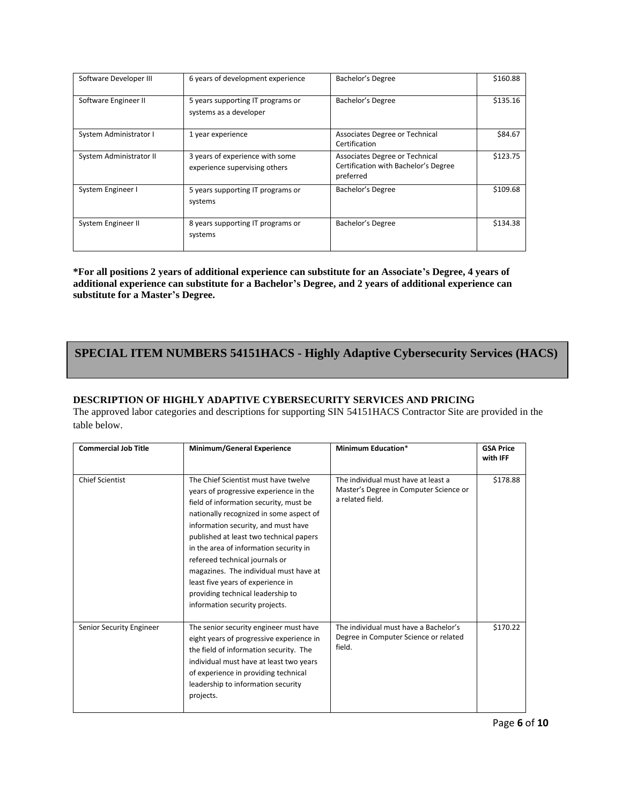| Software Developer III  | 6 years of development experience                                | Bachelor's Degree                                                                   | \$160.88 |
|-------------------------|------------------------------------------------------------------|-------------------------------------------------------------------------------------|----------|
| Software Engineer II    | 5 years supporting IT programs or<br>systems as a developer      | Bachelor's Degree                                                                   | \$135.16 |
| System Administrator I  | 1 year experience                                                | Associates Degree or Technical<br>Certification                                     | \$84.67  |
| System Administrator II | 3 years of experience with some<br>experience supervising others | Associates Degree or Technical<br>Certification with Bachelor's Degree<br>preferred | \$123.75 |
| System Engineer I       | 5 years supporting IT programs or<br>systems                     | Bachelor's Degree                                                                   | \$109.68 |
| System Engineer II      | 8 years supporting IT programs or<br>systems                     | Bachelor's Degree                                                                   | \$134.38 |

**\*For all positions 2 years of additional experience can substitute for an Associate's Degree, 4 years of additional experience can substitute for a Bachelor's Degree, and 2 years of additional experience can substitute for a Master's Degree.**

# **SPECIAL ITEM NUMBERS 54151HACS - Highly Adaptive Cybersecurity Services (HACS)**

#### **DESCRIPTION OF HIGHLY ADAPTIVE CYBERSECURITY SERVICES AND PRICING**

The approved labor categories and descriptions for supporting SIN 54151HACS Contractor Site are provided in the table below.

| <b>Commercial Job Title</b> | Minimum/General Experience                                                                                                                                                                                                                                                                                                                                                                                                                                                              | Minimum Education*                                                                                | <b>GSA Price</b><br>with IFF |
|-----------------------------|-----------------------------------------------------------------------------------------------------------------------------------------------------------------------------------------------------------------------------------------------------------------------------------------------------------------------------------------------------------------------------------------------------------------------------------------------------------------------------------------|---------------------------------------------------------------------------------------------------|------------------------------|
| <b>Chief Scientist</b>      | The Chief Scientist must have twelve<br>years of progressive experience in the<br>field of information security, must be<br>nationally recognized in some aspect of<br>information security, and must have<br>published at least two technical papers<br>in the area of information security in<br>refereed technical journals or<br>magazines. The individual must have at<br>least five years of experience in<br>providing technical leadership to<br>information security projects. | The individual must have at least a<br>Master's Degree in Computer Science or<br>a related field. | \$178.88                     |
| Senior Security Engineer    | The senior security engineer must have<br>eight years of progressive experience in<br>the field of information security. The<br>individual must have at least two years<br>of experience in providing technical<br>leadership to information security<br>projects.                                                                                                                                                                                                                      | The individual must have a Bachelor's<br>Degree in Computer Science or related<br>field.          | \$170.22                     |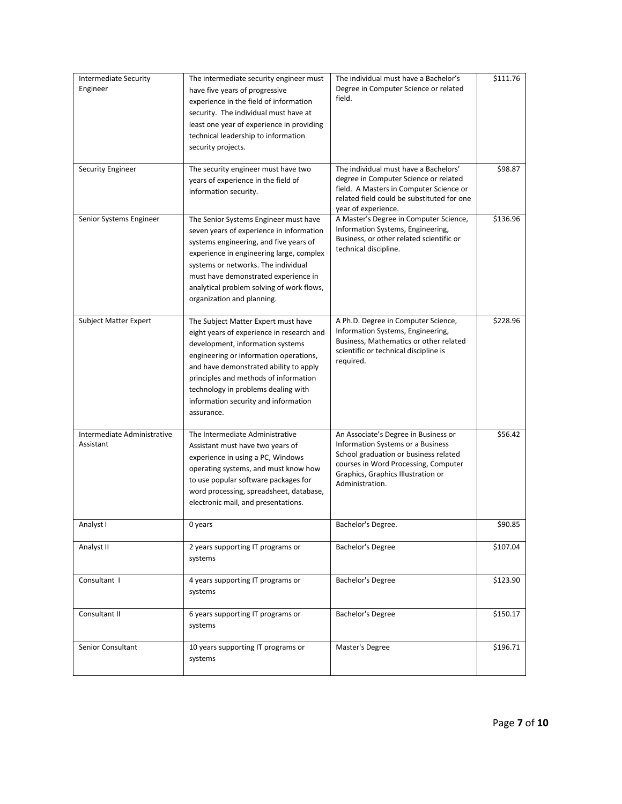| Intermediate Security<br>Engineer        | The intermediate security engineer must<br>have five years of progressive<br>experience in the field of information<br>security. The individual must have at<br>least one year of experience in providing<br>technical leadership to information<br>security projects.                                                                         | The individual must have a Bachelor's<br>Degree in Computer Science or related<br>field.                                                                                                                            | \$111.76 |
|------------------------------------------|------------------------------------------------------------------------------------------------------------------------------------------------------------------------------------------------------------------------------------------------------------------------------------------------------------------------------------------------|---------------------------------------------------------------------------------------------------------------------------------------------------------------------------------------------------------------------|----------|
| <b>Security Engineer</b>                 | The security engineer must have two<br>years of experience in the field of<br>information security.                                                                                                                                                                                                                                            | The individual must have a Bachelors'<br>degree in Computer Science or related<br>field. A Masters in Computer Science or<br>related field could be substituted for one<br>year of experience.                      | \$98.87  |
| Senior Systems Engineer                  | The Senior Systems Engineer must have<br>seven years of experience in information<br>systems engineering, and five years of<br>experience in engineering large, complex<br>systems or networks. The individual<br>must have demonstrated experience in<br>analytical problem solving of work flows,<br>organization and planning.              | A Master's Degree in Computer Science,<br>Information Systems, Engineering,<br>Business, or other related scientific or<br>technical discipline.                                                                    | \$136.96 |
| <b>Subject Matter Expert</b>             | The Subject Matter Expert must have<br>eight years of experience in research and<br>development, information systems<br>engineering or information operations,<br>and have demonstrated ability to apply<br>principles and methods of information<br>technology in problems dealing with<br>information security and information<br>assurance. | A Ph.D. Degree in Computer Science,<br>Information Systems, Engineering,<br>Business, Mathematics or other related<br>scientific or technical discipline is<br>required.                                            | \$228.96 |
| Intermediate Administrative<br>Assistant | The Intermediate Administrative<br>Assistant must have two years of<br>experience in using a PC, Windows<br>operating systems, and must know how<br>to use popular software packages for<br>word processing, spreadsheet, database,<br>electronic mail, and presentations.                                                                     | An Associate's Degree in Business or<br>Information Systems or a Business<br>School graduation or business related<br>courses in Word Processing, Computer<br>Graphics, Graphics Illustration or<br>Administration. | \$56.42  |
| Analyst I                                | 0 years                                                                                                                                                                                                                                                                                                                                        | Bachelor's Degree.                                                                                                                                                                                                  | \$90.85  |
| Analyst II                               | 2 years supporting IT programs or<br>systems                                                                                                                                                                                                                                                                                                   | Bachelor's Degree                                                                                                                                                                                                   | \$107.04 |
| Consultant I                             | 4 years supporting IT programs or<br>systems                                                                                                                                                                                                                                                                                                   | Bachelor's Degree                                                                                                                                                                                                   | \$123.90 |
| Consultant II                            | 6 years supporting IT programs or<br>systems                                                                                                                                                                                                                                                                                                   | Bachelor's Degree                                                                                                                                                                                                   | \$150.17 |
| Senior Consultant                        | 10 years supporting IT programs or<br>systems                                                                                                                                                                                                                                                                                                  | Master's Degree                                                                                                                                                                                                     | \$196.71 |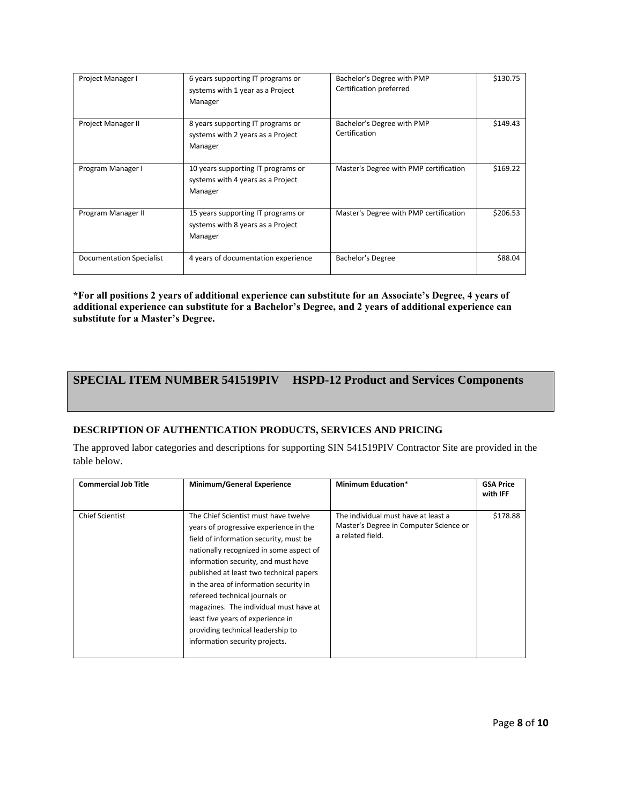| Project Manager I        | 6 years supporting IT programs or<br>systems with 1 year as a Project<br>Manager   | Bachelor's Degree with PMP<br>Certification preferred | \$130.75 |
|--------------------------|------------------------------------------------------------------------------------|-------------------------------------------------------|----------|
| Project Manager II       | 8 years supporting IT programs or<br>systems with 2 years as a Project<br>Manager  | Bachelor's Degree with PMP<br>Certification           | \$149.43 |
| Program Manager I        | 10 years supporting IT programs or<br>systems with 4 years as a Project<br>Manager | Master's Degree with PMP certification                | \$169.22 |
| Program Manager II       | 15 years supporting IT programs or<br>systems with 8 years as a Project<br>Manager | Master's Degree with PMP certification                | \$206.53 |
| Documentation Specialist | 4 years of documentation experience                                                | Bachelor's Degree                                     | \$88.04  |

**\*For all positions 2 years of additional experience can substitute for an Associate's Degree, 4 years of additional experience can substitute for a Bachelor's Degree, and 2 years of additional experience can substitute for a Master's Degree.**

# **SPECIAL ITEM NUMBER 541519PIV HSPD-12 Product and Services Components**

## **DESCRIPTION OF AUTHENTICATION PRODUCTS, SERVICES AND PRICING**

The approved labor categories and descriptions for supporting SIN 541519PIV Contractor Site are provided in the table below.

| <b>Commercial Job Title</b> | <b>Minimum/General Experience</b>                                                                                                                                                                                                                                                                                                                                                                                                                                                       | <b>Minimum Education*</b>                                                                         | <b>GSA Price</b><br>with IFF |
|-----------------------------|-----------------------------------------------------------------------------------------------------------------------------------------------------------------------------------------------------------------------------------------------------------------------------------------------------------------------------------------------------------------------------------------------------------------------------------------------------------------------------------------|---------------------------------------------------------------------------------------------------|------------------------------|
| <b>Chief Scientist</b>      | The Chief Scientist must have twelve<br>years of progressive experience in the<br>field of information security, must be<br>nationally recognized in some aspect of<br>information security, and must have<br>published at least two technical papers<br>in the area of information security in<br>refereed technical journals or<br>magazines. The individual must have at<br>least five years of experience in<br>providing technical leadership to<br>information security projects. | The individual must have at least a<br>Master's Degree in Computer Science or<br>a related field. | \$178.88                     |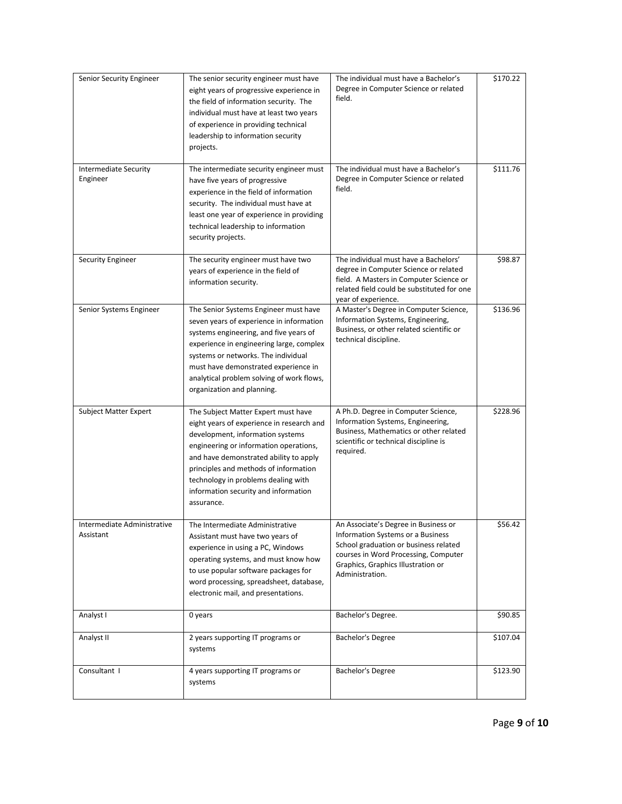| Senior Security Engineer                 | The senior security engineer must have<br>eight years of progressive experience in<br>the field of information security. The<br>individual must have at least two years<br>of experience in providing technical<br>leadership to information security<br>projects.                                                                             | The individual must have a Bachelor's<br>Degree in Computer Science or related<br>field.                                                                                                                            | \$170.22 |
|------------------------------------------|------------------------------------------------------------------------------------------------------------------------------------------------------------------------------------------------------------------------------------------------------------------------------------------------------------------------------------------------|---------------------------------------------------------------------------------------------------------------------------------------------------------------------------------------------------------------------|----------|
| <b>Intermediate Security</b><br>Engineer | The intermediate security engineer must<br>have five years of progressive<br>experience in the field of information<br>security. The individual must have at<br>least one year of experience in providing<br>technical leadership to information<br>security projects.                                                                         | The individual must have a Bachelor's<br>Degree in Computer Science or related<br>field.                                                                                                                            | \$111.76 |
| <b>Security Engineer</b>                 | The security engineer must have two<br>years of experience in the field of<br>information security.                                                                                                                                                                                                                                            | The individual must have a Bachelors'<br>degree in Computer Science or related<br>field. A Masters in Computer Science or<br>related field could be substituted for one<br>year of experience.                      | \$98.87  |
| Senior Systems Engineer                  | The Senior Systems Engineer must have<br>seven years of experience in information<br>systems engineering, and five years of<br>experience in engineering large, complex<br>systems or networks. The individual<br>must have demonstrated experience in<br>analytical problem solving of work flows,<br>organization and planning.              | A Master's Degree in Computer Science,<br>Information Systems, Engineering,<br>Business, or other related scientific or<br>technical discipline.                                                                    | \$136.96 |
| <b>Subject Matter Expert</b>             | The Subject Matter Expert must have<br>eight years of experience in research and<br>development, information systems<br>engineering or information operations,<br>and have demonstrated ability to apply<br>principles and methods of information<br>technology in problems dealing with<br>information security and information<br>assurance. | A Ph.D. Degree in Computer Science,<br>Information Systems, Engineering,<br>Business, Mathematics or other related<br>scientific or technical discipline is<br>required.                                            | \$228.96 |
| Intermediate Administrative<br>Assistant | The Intermediate Administrative<br>Assistant must have two years of<br>experience in using a PC, Windows<br>operating systems, and must know how<br>to use popular software packages for<br>word processing, spreadsheet, database,<br>electronic mail, and presentations.                                                                     | An Associate's Degree in Business or<br>Information Systems or a Business<br>School graduation or business related<br>courses in Word Processing, Computer<br>Graphics, Graphics Illustration or<br>Administration. | \$56.42  |
| Analyst I                                | 0 years                                                                                                                                                                                                                                                                                                                                        | Bachelor's Degree.                                                                                                                                                                                                  | \$90.85  |
| Analyst II                               | 2 years supporting IT programs or<br>systems                                                                                                                                                                                                                                                                                                   | Bachelor's Degree                                                                                                                                                                                                   | \$107.04 |
| Consultant I                             | 4 years supporting IT programs or<br>systems                                                                                                                                                                                                                                                                                                   | Bachelor's Degree                                                                                                                                                                                                   | \$123.90 |